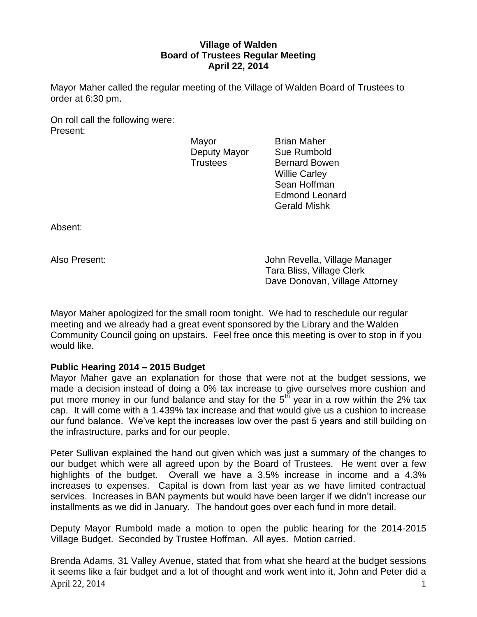## **Village of Walden Board of Trustees Regular Meeting April 22, 2014**

Mayor Maher called the regular meeting of the Village of Walden Board of Trustees to order at 6:30 pm.

On roll call the following were: Present:

Mayor **Brian Maher** Deputy Mayor Sue Rumbold

Trustees Bernard Bowen Willie Carley Sean Hoffman Edmond Leonard Gerald Mishk

Absent:

Also Present: John Revella, Village Manager Tara Bliss, Village Clerk Dave Donovan, Village Attorney

Mayor Maher apologized for the small room tonight. We had to reschedule our regular meeting and we already had a great event sponsored by the Library and the Walden Community Council going on upstairs. Feel free once this meeting is over to stop in if you would like.

## **Public Hearing 2014 – 2015 Budget**

Mayor Maher gave an explanation for those that were not at the budget sessions, we made a decision instead of doing a 0% tax increase to give ourselves more cushion and put more money in our fund balance and stay for the  $5<sup>th</sup>$  year in a row within the 2% tax cap. It will come with a 1.439% tax increase and that would give us a cushion to increase our fund balance. We've kept the increases low over the past 5 years and still building on the infrastructure, parks and for our people.

Peter Sullivan explained the hand out given which was just a summary of the changes to our budget which were all agreed upon by the Board of Trustees. He went over a few highlights of the budget. Overall we have a 3.5% increase in income and a 4.3% increases to expenses. Capital is down from last year as we have limited contractual services. Increases in BAN payments but would have been larger if we didn't increase our installments as we did in January. The handout goes over each fund in more detail.

Deputy Mayor Rumbold made a motion to open the public hearing for the 2014-2015 Village Budget. Seconded by Trustee Hoffman. All ayes. Motion carried.

April 22, 2014  $\frac{1}{2}$ Brenda Adams, 31 Valley Avenue, stated that from what she heard at the budget sessions it seems like a fair budget and a lot of thought and work went into it, John and Peter did a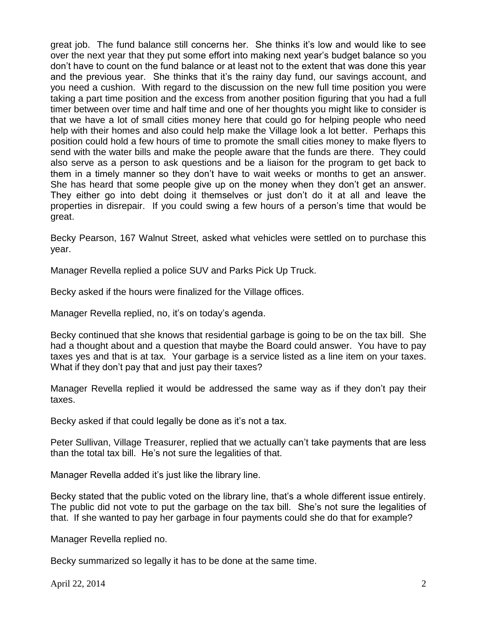great job. The fund balance still concerns her. She thinks it's low and would like to see over the next year that they put some effort into making next year's budget balance so you don't have to count on the fund balance or at least not to the extent that was done this year and the previous year. She thinks that it's the rainy day fund, our savings account, and you need a cushion. With regard to the discussion on the new full time position you were taking a part time position and the excess from another position figuring that you had a full timer between over time and half time and one of her thoughts you might like to consider is that we have a lot of small cities money here that could go for helping people who need help with their homes and also could help make the Village look a lot better. Perhaps this position could hold a few hours of time to promote the small cities money to make flyers to send with the water bills and make the people aware that the funds are there. They could also serve as a person to ask questions and be a liaison for the program to get back to them in a timely manner so they don't have to wait weeks or months to get an answer. She has heard that some people give up on the money when they don't get an answer. They either go into debt doing it themselves or just don't do it at all and leave the properties in disrepair. If you could swing a few hours of a person's time that would be great.

Becky Pearson, 167 Walnut Street, asked what vehicles were settled on to purchase this year.

Manager Revella replied a police SUV and Parks Pick Up Truck.

Becky asked if the hours were finalized for the Village offices.

Manager Revella replied, no, it's on today's agenda.

Becky continued that she knows that residential garbage is going to be on the tax bill. She had a thought about and a question that maybe the Board could answer. You have to pay taxes yes and that is at tax. Your garbage is a service listed as a line item on your taxes. What if they don't pay that and just pay their taxes?

Manager Revella replied it would be addressed the same way as if they don't pay their taxes.

Becky asked if that could legally be done as it's not a tax.

Peter Sullivan, Village Treasurer, replied that we actually can't take payments that are less than the total tax bill. He's not sure the legalities of that.

Manager Revella added it's just like the library line.

Becky stated that the public voted on the library line, that's a whole different issue entirely. The public did not vote to put the garbage on the tax bill. She's not sure the legalities of that. If she wanted to pay her garbage in four payments could she do that for example?

Manager Revella replied no.

Becky summarized so legally it has to be done at the same time.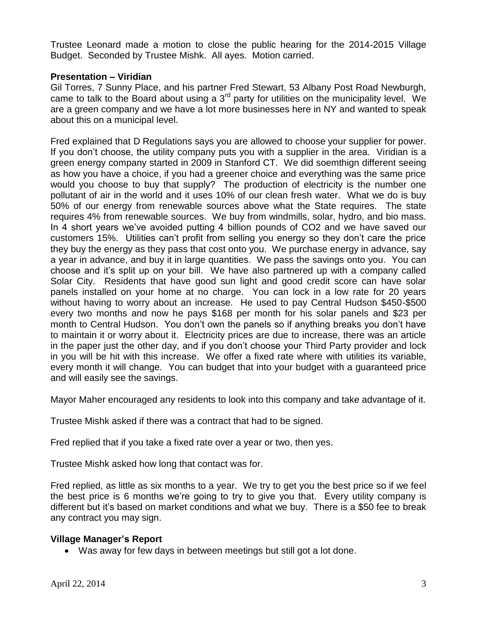Trustee Leonard made a motion to close the public hearing for the 2014-2015 Village Budget. Seconded by Trustee Mishk. All ayes. Motion carried.

## **Presentation – Viridian**

Gil Torres, 7 Sunny Place, and his partner Fred Stewart, 53 Albany Post Road Newburgh, came to talk to the Board about using a  $3<sup>rd</sup>$  party for utilities on the municipality level. We are a green company and we have a lot more businesses here in NY and wanted to speak about this on a municipal level.

Fred explained that D Regulations says you are allowed to choose your supplier for power. If you don't choose, the utility company puts you with a supplier in the area. Viridian is a green energy company started in 2009 in Stanford CT. We did soemthign different seeing as how you have a choice, if you had a greener choice and everything was the same price would you choose to buy that supply? The production of electricity is the number one pollutant of air in the world and it uses 10% of our clean fresh water. What we do is buy 50% of our energy from renewable sources above what the State requires. The state requires 4% from renewable sources. We buy from windmills, solar, hydro, and bio mass. In 4 short years we've avoided putting 4 billion pounds of CO2 and we have saved our customers 15%. Utilities can't profit from selling you energy so they don't care the price they buy the energy as they pass that cost onto you. We purchase energy in advance, say a year in advance, and buy it in large quantities. We pass the savings onto you. You can choose and it's split up on your bill. We have also partnered up with a company called Solar City. Residents that have good sun light and good credit score can have solar panels installed on your home at no charge. You can lock in a low rate for 20 years without having to worry about an increase. He used to pay Central Hudson \$450-\$500 every two months and now he pays \$168 per month for his solar panels and \$23 per month to Central Hudson. You don't own the panels so if anything breaks you don't have to maintain it or worry about it. Electricity prices are due to increase, there was an article in the paper just the other day, and if you don't choose your Third Party provider and lock in you will be hit with this increase. We offer a fixed rate where with utilities its variable, every month it will change. You can budget that into your budget with a guaranteed price and will easily see the savings.

Mayor Maher encouraged any residents to look into this company and take advantage of it.

Trustee Mishk asked if there was a contract that had to be signed.

Fred replied that if you take a fixed rate over a year or two, then yes.

Trustee Mishk asked how long that contact was for.

Fred replied, as little as six months to a year. We try to get you the best price so if we feel the best price is 6 months we're going to try to give you that. Every utility company is different but it's based on market conditions and what we buy. There is a \$50 fee to break any contract you may sign.

# **Village Manager's Report**

Was away for few days in between meetings but still got a lot done.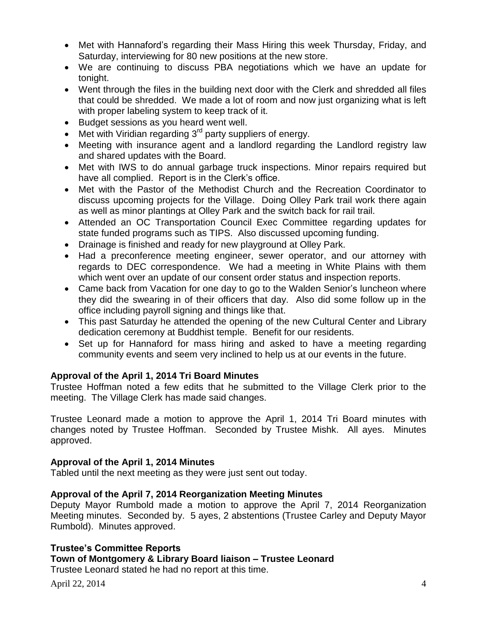- Met with Hannaford's regarding their Mass Hiring this week Thursday, Friday, and Saturday, interviewing for 80 new positions at the new store.
- We are continuing to discuss PBA negotiations which we have an update for tonight.
- Went through the files in the building next door with the Clerk and shredded all files that could be shredded. We made a lot of room and now just organizing what is left with proper labeling system to keep track of it.
- Budget sessions as you heard went well.
- $\bullet$  Met with Viridian regarding 3<sup>rd</sup> party suppliers of energy.
- Meeting with insurance agent and a landlord regarding the Landlord registry law and shared updates with the Board.
- Met with IWS to do annual garbage truck inspections. Minor repairs required but have all complied. Report is in the Clerk's office.
- Met with the Pastor of the Methodist Church and the Recreation Coordinator to discuss upcoming projects for the Village. Doing Olley Park trail work there again as well as minor plantings at Olley Park and the switch back for rail trail.
- Attended an OC Transportation Council Exec Committee regarding updates for state funded programs such as TIPS. Also discussed upcoming funding.
- Drainage is finished and ready for new playground at Olley Park.
- Had a preconference meeting engineer, sewer operator, and our attorney with regards to DEC correspondence. We had a meeting in White Plains with them which went over an update of our consent order status and inspection reports.
- Came back from Vacation for one day to go to the Walden Senior's luncheon where they did the swearing in of their officers that day. Also did some follow up in the office including payroll signing and things like that.
- This past Saturday he attended the opening of the new Cultural Center and Library dedication ceremony at Buddhist temple. Benefit for our residents.
- Set up for Hannaford for mass hiring and asked to have a meeting regarding community events and seem very inclined to help us at our events in the future.

# **Approval of the April 1, 2014 Tri Board Minutes**

Trustee Hoffman noted a few edits that he submitted to the Village Clerk prior to the meeting. The Village Clerk has made said changes.

Trustee Leonard made a motion to approve the April 1, 2014 Tri Board minutes with changes noted by Trustee Hoffman. Seconded by Trustee Mishk. All ayes. Minutes approved.

## **Approval of the April 1, 2014 Minutes**

Tabled until the next meeting as they were just sent out today.

## **Approval of the April 7, 2014 Reorganization Meeting Minutes**

Deputy Mayor Rumbold made a motion to approve the April 7, 2014 Reorganization Meeting minutes. Seconded by. 5 ayes, 2 abstentions (Trustee Carley and Deputy Mayor Rumbold). Minutes approved.

# **Trustee's Committee Reports**

## **Town of Montgomery & Library Board liaison – Trustee Leonard**

Trustee Leonard stated he had no report at this time.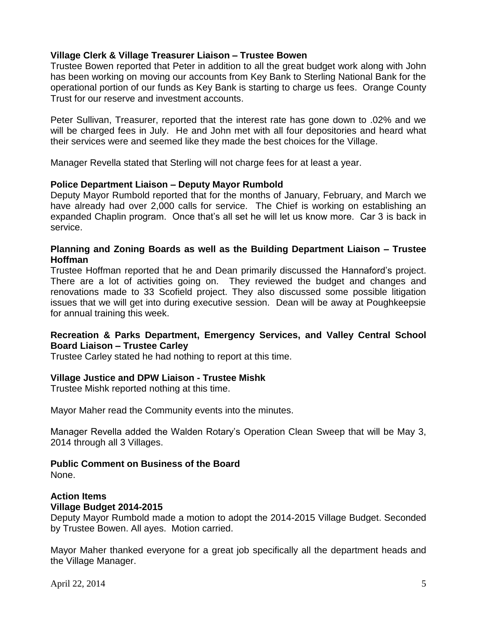## **Village Clerk & Village Treasurer Liaison – Trustee Bowen**

Trustee Bowen reported that Peter in addition to all the great budget work along with John has been working on moving our accounts from Key Bank to Sterling National Bank for the operational portion of our funds as Key Bank is starting to charge us fees. Orange County Trust for our reserve and investment accounts.

Peter Sullivan, Treasurer, reported that the interest rate has gone down to .02% and we will be charged fees in July. He and John met with all four depositories and heard what their services were and seemed like they made the best choices for the Village.

Manager Revella stated that Sterling will not charge fees for at least a year.

## **Police Department Liaison – Deputy Mayor Rumbold**

Deputy Mayor Rumbold reported that for the months of January, February, and March we have already had over 2,000 calls for service. The Chief is working on establishing an expanded Chaplin program. Once that's all set he will let us know more. Car 3 is back in service.

## **Planning and Zoning Boards as well as the Building Department Liaison – Trustee Hoffman**

Trustee Hoffman reported that he and Dean primarily discussed the Hannaford's project. There are a lot of activities going on. They reviewed the budget and changes and renovations made to 33 Scofield project. They also discussed some possible litigation issues that we will get into during executive session. Dean will be away at Poughkeepsie for annual training this week.

## **Recreation & Parks Department, Emergency Services, and Valley Central School Board Liaison – Trustee Carley**

Trustee Carley stated he had nothing to report at this time.

## **Village Justice and DPW Liaison - Trustee Mishk**

Trustee Mishk reported nothing at this time.

Mayor Maher read the Community events into the minutes.

Manager Revella added the Walden Rotary's Operation Clean Sweep that will be May 3, 2014 through all 3 Villages.

## **Public Comment on Business of the Board**

None.

#### **Action Items Village Budget 2014-2015**

Deputy Mayor Rumbold made a motion to adopt the 2014-2015 Village Budget. Seconded by Trustee Bowen. All ayes. Motion carried.

Mayor Maher thanked everyone for a great job specifically all the department heads and the Village Manager.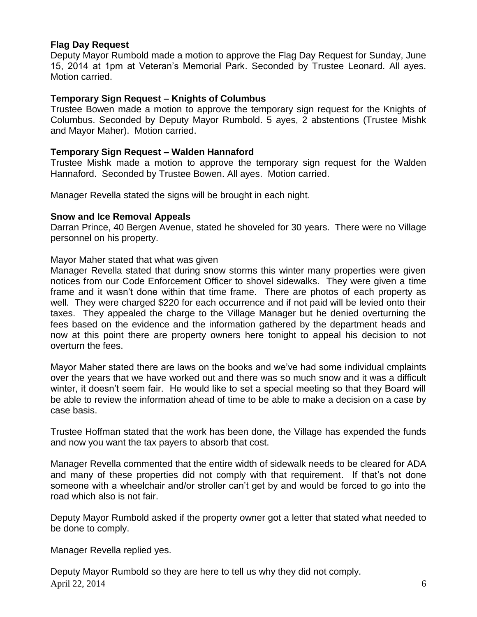## **Flag Day Request**

Deputy Mayor Rumbold made a motion to approve the Flag Day Request for Sunday, June 15, 2014 at 1pm at Veteran's Memorial Park. Seconded by Trustee Leonard. All ayes. Motion carried.

## **Temporary Sign Request – Knights of Columbus**

Trustee Bowen made a motion to approve the temporary sign request for the Knights of Columbus. Seconded by Deputy Mayor Rumbold. 5 ayes, 2 abstentions (Trustee Mishk and Mayor Maher). Motion carried.

## **Temporary Sign Request – Walden Hannaford**

Trustee Mishk made a motion to approve the temporary sign request for the Walden Hannaford. Seconded by Trustee Bowen. All ayes. Motion carried.

Manager Revella stated the signs will be brought in each night.

### **Snow and Ice Removal Appeals**

Darran Prince, 40 Bergen Avenue, stated he shoveled for 30 years. There were no Village personnel on his property.

### Mayor Maher stated that what was given

Manager Revella stated that during snow storms this winter many properties were given notices from our Code Enforcement Officer to shovel sidewalks. They were given a time frame and it wasn't done within that time frame. There are photos of each property as well. They were charged \$220 for each occurrence and if not paid will be levied onto their taxes. They appealed the charge to the Village Manager but he denied overturning the fees based on the evidence and the information gathered by the department heads and now at this point there are property owners here tonight to appeal his decision to not overturn the fees.

Mayor Maher stated there are laws on the books and we've had some individual cmplaints over the years that we have worked out and there was so much snow and it was a difficult winter, it doesn't seem fair. He would like to set a special meeting so that they Board will be able to review the information ahead of time to be able to make a decision on a case by case basis.

Trustee Hoffman stated that the work has been done, the Village has expended the funds and now you want the tax payers to absorb that cost.

Manager Revella commented that the entire width of sidewalk needs to be cleared for ADA and many of these properties did not comply with that requirement. If that's not done someone with a wheelchair and/or stroller can't get by and would be forced to go into the road which also is not fair.

Deputy Mayor Rumbold asked if the property owner got a letter that stated what needed to be done to comply.

Manager Revella replied yes.

April 22, 2014 6 Deputy Mayor Rumbold so they are here to tell us why they did not comply.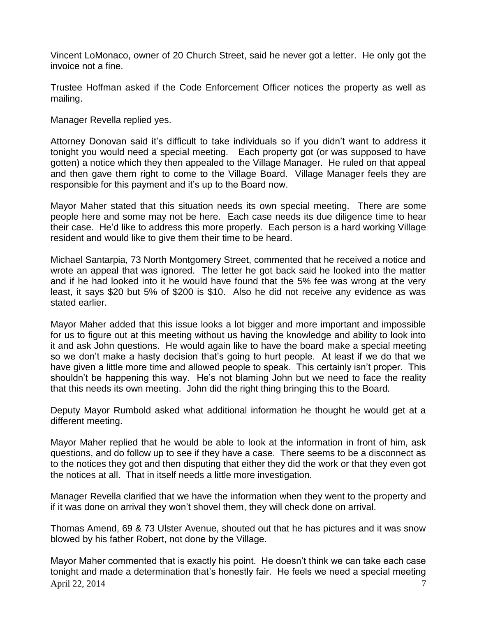Vincent LoMonaco, owner of 20 Church Street, said he never got a letter. He only got the invoice not a fine.

Trustee Hoffman asked if the Code Enforcement Officer notices the property as well as mailing.

Manager Revella replied yes.

Attorney Donovan said it's difficult to take individuals so if you didn't want to address it tonight you would need a special meeting. Each property got (or was supposed to have gotten) a notice which they then appealed to the Village Manager. He ruled on that appeal and then gave them right to come to the Village Board. Village Manager feels they are responsible for this payment and it's up to the Board now.

Mayor Maher stated that this situation needs its own special meeting. There are some people here and some may not be here. Each case needs its due diligence time to hear their case. He'd like to address this more properly. Each person is a hard working Village resident and would like to give them their time to be heard.

Michael Santarpia, 73 North Montgomery Street, commented that he received a notice and wrote an appeal that was ignored. The letter he got back said he looked into the matter and if he had looked into it he would have found that the 5% fee was wrong at the very least, it says \$20 but 5% of \$200 is \$10. Also he did not receive any evidence as was stated earlier.

Mayor Maher added that this issue looks a lot bigger and more important and impossible for us to figure out at this meeting without us having the knowledge and ability to look into it and ask John questions. He would again like to have the board make a special meeting so we don't make a hasty decision that's going to hurt people. At least if we do that we have given a little more time and allowed people to speak. This certainly isn't proper. This shouldn't be happening this way. He's not blaming John but we need to face the reality that this needs its own meeting. John did the right thing bringing this to the Board.

Deputy Mayor Rumbold asked what additional information he thought he would get at a different meeting.

Mayor Maher replied that he would be able to look at the information in front of him, ask questions, and do follow up to see if they have a case. There seems to be a disconnect as to the notices they got and then disputing that either they did the work or that they even got the notices at all. That in itself needs a little more investigation.

Manager Revella clarified that we have the information when they went to the property and if it was done on arrival they won't shovel them, they will check done on arrival.

Thomas Amend, 69 & 73 Ulster Avenue, shouted out that he has pictures and it was snow blowed by his father Robert, not done by the Village.

April 22, 2014 7 Mayor Maher commented that is exactly his point. He doesn't think we can take each case tonight and made a determination that's honestly fair. He feels we need a special meeting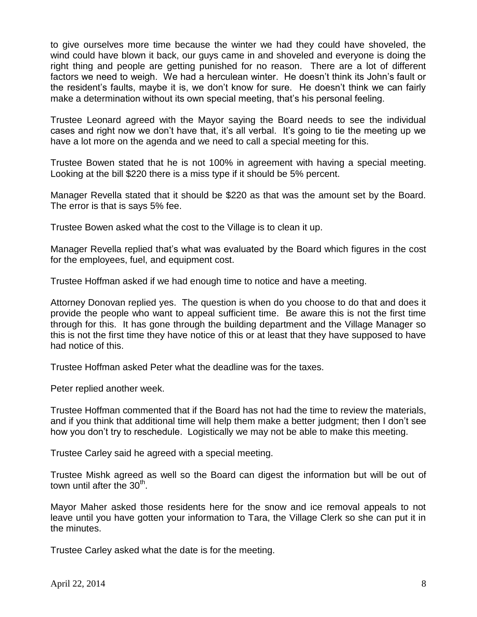to give ourselves more time because the winter we had they could have shoveled, the wind could have blown it back, our guys came in and shoveled and everyone is doing the right thing and people are getting punished for no reason. There are a lot of different factors we need to weigh. We had a herculean winter. He doesn't think its John's fault or the resident's faults, maybe it is, we don't know for sure. He doesn't think we can fairly make a determination without its own special meeting, that's his personal feeling.

Trustee Leonard agreed with the Mayor saying the Board needs to see the individual cases and right now we don't have that, it's all verbal. It's going to tie the meeting up we have a lot more on the agenda and we need to call a special meeting for this.

Trustee Bowen stated that he is not 100% in agreement with having a special meeting. Looking at the bill \$220 there is a miss type if it should be 5% percent.

Manager Revella stated that it should be \$220 as that was the amount set by the Board. The error is that is says 5% fee.

Trustee Bowen asked what the cost to the Village is to clean it up.

Manager Revella replied that's what was evaluated by the Board which figures in the cost for the employees, fuel, and equipment cost.

Trustee Hoffman asked if we had enough time to notice and have a meeting.

Attorney Donovan replied yes. The question is when do you choose to do that and does it provide the people who want to appeal sufficient time. Be aware this is not the first time through for this. It has gone through the building department and the Village Manager so this is not the first time they have notice of this or at least that they have supposed to have had notice of this.

Trustee Hoffman asked Peter what the deadline was for the taxes.

Peter replied another week.

Trustee Hoffman commented that if the Board has not had the time to review the materials, and if you think that additional time will help them make a better judgment; then I don't see how you don't try to reschedule. Logistically we may not be able to make this meeting.

Trustee Carley said he agreed with a special meeting.

Trustee Mishk agreed as well so the Board can digest the information but will be out of town until after the  $30<sup>th</sup>$ .

Mayor Maher asked those residents here for the snow and ice removal appeals to not leave until you have gotten your information to Tara, the Village Clerk so she can put it in the minutes.

Trustee Carley asked what the date is for the meeting.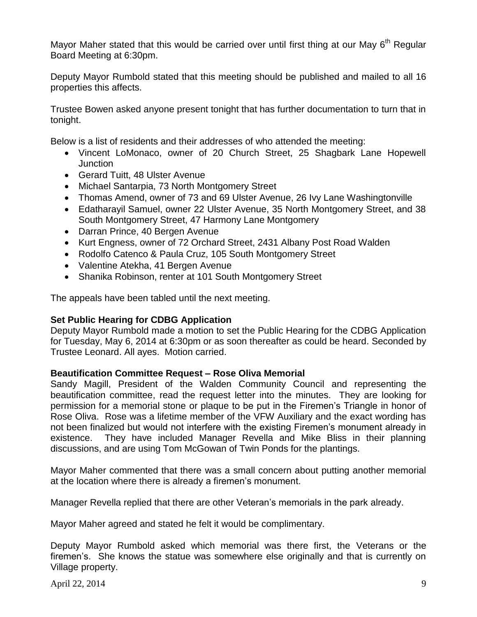Mayor Maher stated that this would be carried over until first thing at our May  $6<sup>th</sup>$  Regular Board Meeting at 6:30pm.

Deputy Mayor Rumbold stated that this meeting should be published and mailed to all 16 properties this affects.

Trustee Bowen asked anyone present tonight that has further documentation to turn that in tonight.

Below is a list of residents and their addresses of who attended the meeting:

- Vincent LoMonaco, owner of 20 Church Street, 25 Shagbark Lane Hopewell **Junction**
- Gerard Tuitt, 48 Ulster Avenue
- Michael Santarpia, 73 North Montgomery Street
- Thomas Amend, owner of 73 and 69 Ulster Avenue, 26 Ivy Lane Washingtonville
- Edatharayil Samuel, owner 22 Ulster Avenue, 35 North Montgomery Street, and 38 South Montgomery Street, 47 Harmony Lane Montgomery
- Darran Prince, 40 Bergen Avenue
- Kurt Engness, owner of 72 Orchard Street, 2431 Albany Post Road Walden
- Rodolfo Catenco & Paula Cruz, 105 South Montgomery Street
- Valentine Atekha, 41 Bergen Avenue
- Shanika Robinson, renter at 101 South Montgomery Street

The appeals have been tabled until the next meeting.

## **Set Public Hearing for CDBG Application**

Deputy Mayor Rumbold made a motion to set the Public Hearing for the CDBG Application for Tuesday, May 6, 2014 at 6:30pm or as soon thereafter as could be heard. Seconded by Trustee Leonard. All ayes. Motion carried.

## **Beautification Committee Request – Rose Oliva Memorial**

Sandy Magill, President of the Walden Community Council and representing the beautification committee, read the request letter into the minutes. They are looking for permission for a memorial stone or plaque to be put in the Firemen's Triangle in honor of Rose Oliva. Rose was a lifetime member of the VFW Auxiliary and the exact wording has not been finalized but would not interfere with the existing Firemen's monument already in existence. They have included Manager Revella and Mike Bliss in their planning discussions, and are using Tom McGowan of Twin Ponds for the plantings.

Mayor Maher commented that there was a small concern about putting another memorial at the location where there is already a firemen's monument.

Manager Revella replied that there are other Veteran's memorials in the park already.

Mayor Maher agreed and stated he felt it would be complimentary.

Deputy Mayor Rumbold asked which memorial was there first, the Veterans or the firemen's. She knows the statue was somewhere else originally and that is currently on Village property.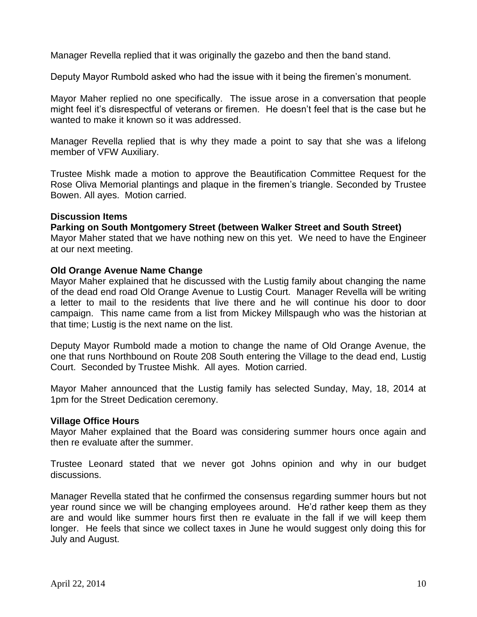Manager Revella replied that it was originally the gazebo and then the band stand.

Deputy Mayor Rumbold asked who had the issue with it being the firemen's monument.

Mayor Maher replied no one specifically. The issue arose in a conversation that people might feel it's disrespectful of veterans or firemen. He doesn't feel that is the case but he wanted to make it known so it was addressed.

Manager Revella replied that is why they made a point to say that she was a lifelong member of VFW Auxiliary.

Trustee Mishk made a motion to approve the Beautification Committee Request for the Rose Oliva Memorial plantings and plaque in the firemen's triangle. Seconded by Trustee Bowen. All ayes. Motion carried.

### **Discussion Items**

### **Parking on South Montgomery Street (between Walker Street and South Street)**

Mayor Maher stated that we have nothing new on this yet. We need to have the Engineer at our next meeting.

### **Old Orange Avenue Name Change**

Mayor Maher explained that he discussed with the Lustig family about changing the name of the dead end road Old Orange Avenue to Lustig Court. Manager Revella will be writing a letter to mail to the residents that live there and he will continue his door to door campaign. This name came from a list from Mickey Millspaugh who was the historian at that time; Lustig is the next name on the list.

Deputy Mayor Rumbold made a motion to change the name of Old Orange Avenue, the one that runs Northbound on Route 208 South entering the Village to the dead end, Lustig Court. Seconded by Trustee Mishk. All ayes. Motion carried.

Mayor Maher announced that the Lustig family has selected Sunday, May, 18, 2014 at 1pm for the Street Dedication ceremony.

## **Village Office Hours**

Mayor Maher explained that the Board was considering summer hours once again and then re evaluate after the summer.

Trustee Leonard stated that we never got Johns opinion and why in our budget discussions.

Manager Revella stated that he confirmed the consensus regarding summer hours but not year round since we will be changing employees around. He'd rather keep them as they are and would like summer hours first then re evaluate in the fall if we will keep them longer. He feels that since we collect taxes in June he would suggest only doing this for July and August.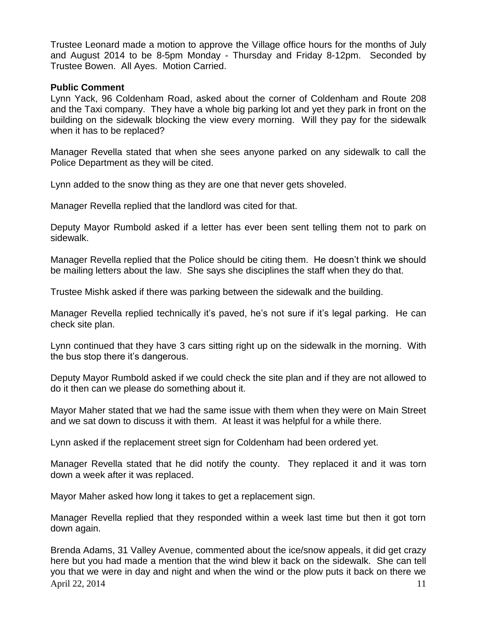Trustee Leonard made a motion to approve the Village office hours for the months of July and August 2014 to be 8-5pm Monday - Thursday and Friday 8-12pm. Seconded by Trustee Bowen. All Ayes. Motion Carried.

### **Public Comment**

Lynn Yack, 96 Coldenham Road, asked about the corner of Coldenham and Route 208 and the Taxi company. They have a whole big parking lot and yet they park in front on the building on the sidewalk blocking the view every morning. Will they pay for the sidewalk when it has to be replaced?

Manager Revella stated that when she sees anyone parked on any sidewalk to call the Police Department as they will be cited.

Lynn added to the snow thing as they are one that never gets shoveled.

Manager Revella replied that the landlord was cited for that.

Deputy Mayor Rumbold asked if a letter has ever been sent telling them not to park on sidewalk.

Manager Revella replied that the Police should be citing them. He doesn't think we should be mailing letters about the law. She says she disciplines the staff when they do that.

Trustee Mishk asked if there was parking between the sidewalk and the building.

Manager Revella replied technically it's paved, he's not sure if it's legal parking. He can check site plan.

Lynn continued that they have 3 cars sitting right up on the sidewalk in the morning. With the bus stop there it's dangerous.

Deputy Mayor Rumbold asked if we could check the site plan and if they are not allowed to do it then can we please do something about it.

Mayor Maher stated that we had the same issue with them when they were on Main Street and we sat down to discuss it with them. At least it was helpful for a while there.

Lynn asked if the replacement street sign for Coldenham had been ordered yet.

Manager Revella stated that he did notify the county. They replaced it and it was torn down a week after it was replaced.

Mayor Maher asked how long it takes to get a replacement sign.

Manager Revella replied that they responded within a week last time but then it got torn down again.

April 22, 2014 11 Brenda Adams, 31 Valley Avenue, commented about the ice/snow appeals, it did get crazy here but you had made a mention that the wind blew it back on the sidewalk. She can tell you that we were in day and night and when the wind or the plow puts it back on there we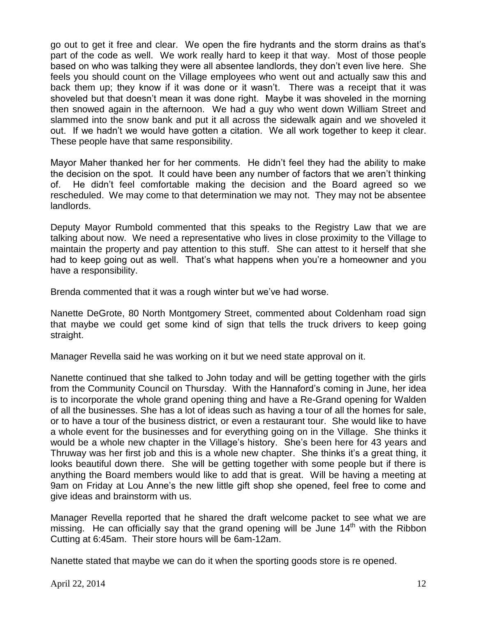go out to get it free and clear. We open the fire hydrants and the storm drains as that's part of the code as well. We work really hard to keep it that way. Most of those people based on who was talking they were all absentee landlords, they don't even live here. She feels you should count on the Village employees who went out and actually saw this and back them up; they know if it was done or it wasn't. There was a receipt that it was shoveled but that doesn't mean it was done right. Maybe it was shoveled in the morning then snowed again in the afternoon. We had a guy who went down William Street and slammed into the snow bank and put it all across the sidewalk again and we shoveled it out. If we hadn't we would have gotten a citation. We all work together to keep it clear. These people have that same responsibility.

Mayor Maher thanked her for her comments. He didn't feel they had the ability to make the decision on the spot. It could have been any number of factors that we aren't thinking of. He didn't feel comfortable making the decision and the Board agreed so we rescheduled. We may come to that determination we may not. They may not be absentee landlords.

Deputy Mayor Rumbold commented that this speaks to the Registry Law that we are talking about now. We need a representative who lives in close proximity to the Village to maintain the property and pay attention to this stuff. She can attest to it herself that she had to keep going out as well. That's what happens when you're a homeowner and you have a responsibility.

Brenda commented that it was a rough winter but we've had worse.

Nanette DeGrote, 80 North Montgomery Street, commented about Coldenham road sign that maybe we could get some kind of sign that tells the truck drivers to keep going straight.

Manager Revella said he was working on it but we need state approval on it.

Nanette continued that she talked to John today and will be getting together with the girls from the Community Council on Thursday. With the Hannaford's coming in June, her idea is to incorporate the whole grand opening thing and have a Re-Grand opening for Walden of all the businesses. She has a lot of ideas such as having a tour of all the homes for sale, or to have a tour of the business district, or even a restaurant tour. She would like to have a whole event for the businesses and for everything going on in the Village. She thinks it would be a whole new chapter in the Village's history. She's been here for 43 years and Thruway was her first job and this is a whole new chapter. She thinks it's a great thing, it looks beautiful down there. She will be getting together with some people but if there is anything the Board members would like to add that is great. Will be having a meeting at 9am on Friday at Lou Anne's the new little gift shop she opened, feel free to come and give ideas and brainstorm with us.

Manager Revella reported that he shared the draft welcome packet to see what we are missing. He can officially say that the grand opening will be June  $14<sup>th</sup>$  with the Ribbon Cutting at 6:45am. Their store hours will be 6am-12am.

Nanette stated that maybe we can do it when the sporting goods store is re opened.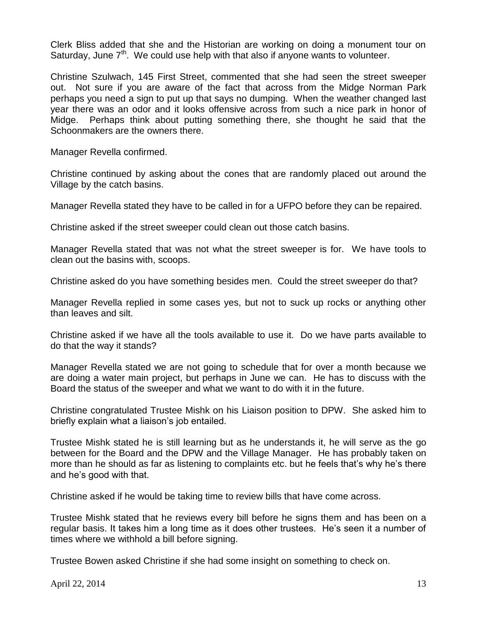Clerk Bliss added that she and the Historian are working on doing a monument tour on Saturday, June  $7<sup>th</sup>$ . We could use help with that also if anyone wants to volunteer.

Christine Szulwach, 145 First Street, commented that she had seen the street sweeper out. Not sure if you are aware of the fact that across from the Midge Norman Park perhaps you need a sign to put up that says no dumping. When the weather changed last year there was an odor and it looks offensive across from such a nice park in honor of Midge. Perhaps think about putting something there, she thought he said that the Schoonmakers are the owners there.

Manager Revella confirmed.

Christine continued by asking about the cones that are randomly placed out around the Village by the catch basins.

Manager Revella stated they have to be called in for a UFPO before they can be repaired.

Christine asked if the street sweeper could clean out those catch basins.

Manager Revella stated that was not what the street sweeper is for. We have tools to clean out the basins with, scoops.

Christine asked do you have something besides men. Could the street sweeper do that?

Manager Revella replied in some cases yes, but not to suck up rocks or anything other than leaves and silt.

Christine asked if we have all the tools available to use it. Do we have parts available to do that the way it stands?

Manager Revella stated we are not going to schedule that for over a month because we are doing a water main project, but perhaps in June we can. He has to discuss with the Board the status of the sweeper and what we want to do with it in the future.

Christine congratulated Trustee Mishk on his Liaison position to DPW. She asked him to briefly explain what a liaison's job entailed.

Trustee Mishk stated he is still learning but as he understands it, he will serve as the go between for the Board and the DPW and the Village Manager. He has probably taken on more than he should as far as listening to complaints etc. but he feels that's why he's there and he's good with that.

Christine asked if he would be taking time to review bills that have come across.

Trustee Mishk stated that he reviews every bill before he signs them and has been on a regular basis. It takes him a long time as it does other trustees. He's seen it a number of times where we withhold a bill before signing.

Trustee Bowen asked Christine if she had some insight on something to check on.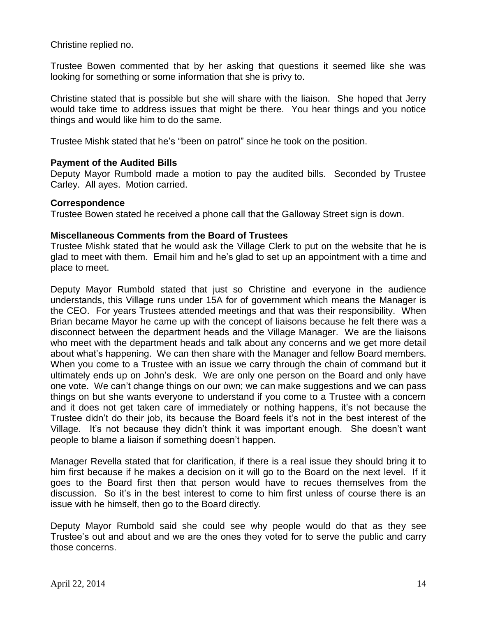Christine replied no.

Trustee Bowen commented that by her asking that questions it seemed like she was looking for something or some information that she is privy to.

Christine stated that is possible but she will share with the liaison. She hoped that Jerry would take time to address issues that might be there. You hear things and you notice things and would like him to do the same.

Trustee Mishk stated that he's "been on patrol" since he took on the position.

### **Payment of the Audited Bills**

Deputy Mayor Rumbold made a motion to pay the audited bills. Seconded by Trustee Carley. All ayes. Motion carried.

#### **Correspondence**

Trustee Bowen stated he received a phone call that the Galloway Street sign is down.

#### **Miscellaneous Comments from the Board of Trustees**

Trustee Mishk stated that he would ask the Village Clerk to put on the website that he is glad to meet with them. Email him and he's glad to set up an appointment with a time and place to meet.

Deputy Mayor Rumbold stated that just so Christine and everyone in the audience understands, this Village runs under 15A for of government which means the Manager is the CEO. For years Trustees attended meetings and that was their responsibility. When Brian became Mayor he came up with the concept of liaisons because he felt there was a disconnect between the department heads and the Village Manager. We are the liaisons who meet with the department heads and talk about any concerns and we get more detail about what's happening. We can then share with the Manager and fellow Board members. When you come to a Trustee with an issue we carry through the chain of command but it ultimately ends up on John's desk. We are only one person on the Board and only have one vote. We can't change things on our own; we can make suggestions and we can pass things on but she wants everyone to understand if you come to a Trustee with a concern and it does not get taken care of immediately or nothing happens, it's not because the Trustee didn't do their job, its because the Board feels it's not in the best interest of the Village. It's not because they didn't think it was important enough. She doesn't want people to blame a liaison if something doesn't happen.

Manager Revella stated that for clarification, if there is a real issue they should bring it to him first because if he makes a decision on it will go to the Board on the next level. If it goes to the Board first then that person would have to recues themselves from the discussion. So it's in the best interest to come to him first unless of course there is an issue with he himself, then go to the Board directly.

Deputy Mayor Rumbold said she could see why people would do that as they see Trustee's out and about and we are the ones they voted for to serve the public and carry those concerns.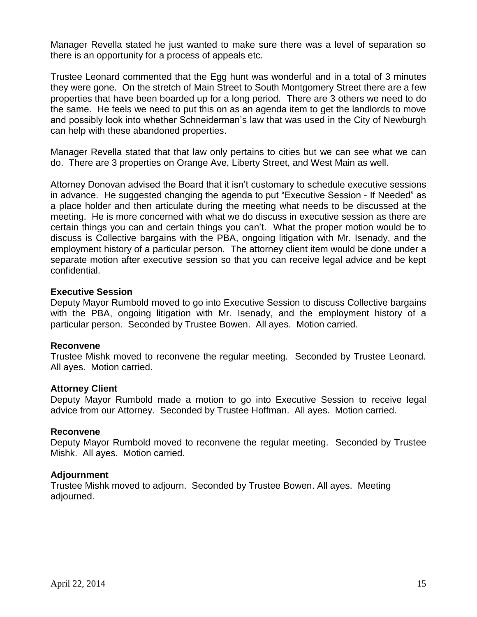Manager Revella stated he just wanted to make sure there was a level of separation so there is an opportunity for a process of appeals etc.

Trustee Leonard commented that the Egg hunt was wonderful and in a total of 3 minutes they were gone. On the stretch of Main Street to South Montgomery Street there are a few properties that have been boarded up for a long period. There are 3 others we need to do the same. He feels we need to put this on as an agenda item to get the landlords to move and possibly look into whether Schneiderman's law that was used in the City of Newburgh can help with these abandoned properties.

Manager Revella stated that that law only pertains to cities but we can see what we can do. There are 3 properties on Orange Ave, Liberty Street, and West Main as well.

Attorney Donovan advised the Board that it isn't customary to schedule executive sessions in advance. He suggested changing the agenda to put "Executive Session - If Needed" as a place holder and then articulate during the meeting what needs to be discussed at the meeting. He is more concerned with what we do discuss in executive session as there are certain things you can and certain things you can't. What the proper motion would be to discuss is Collective bargains with the PBA, ongoing litigation with Mr. Isenady, and the employment history of a particular person. The attorney client item would be done under a separate motion after executive session so that you can receive legal advice and be kept confidential.

### **Executive Session**

Deputy Mayor Rumbold moved to go into Executive Session to discuss Collective bargains with the PBA, ongoing litigation with Mr. Isenady, and the employment history of a particular person. Seconded by Trustee Bowen. All ayes. Motion carried.

#### **Reconvene**

Trustee Mishk moved to reconvene the regular meeting. Seconded by Trustee Leonard. All ayes. Motion carried.

#### **Attorney Client**

Deputy Mayor Rumbold made a motion to go into Executive Session to receive legal advice from our Attorney. Seconded by Trustee Hoffman. All ayes. Motion carried.

#### **Reconvene**

Deputy Mayor Rumbold moved to reconvene the regular meeting. Seconded by Trustee Mishk. All ayes. Motion carried.

## **Adjournment**

Trustee Mishk moved to adjourn. Seconded by Trustee Bowen. All ayes. Meeting adjourned.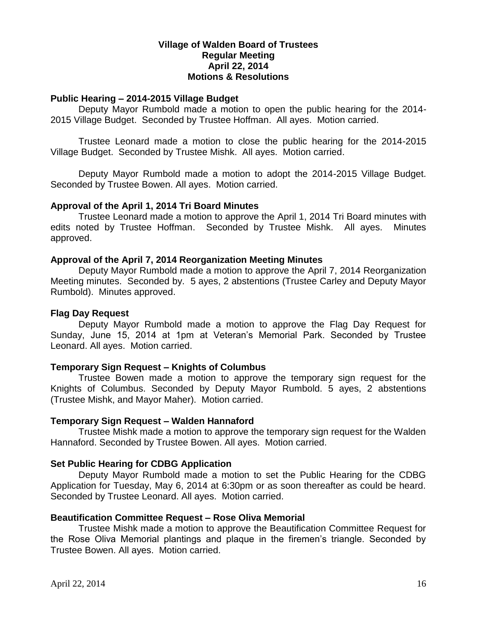### **Village of Walden Board of Trustees Regular Meeting April 22, 2014 Motions & Resolutions**

### **Public Hearing – 2014-2015 Village Budget**

Deputy Mayor Rumbold made a motion to open the public hearing for the 2014- 2015 Village Budget. Seconded by Trustee Hoffman. All ayes. Motion carried.

Trustee Leonard made a motion to close the public hearing for the 2014-2015 Village Budget. Seconded by Trustee Mishk. All ayes. Motion carried.

Deputy Mayor Rumbold made a motion to adopt the 2014-2015 Village Budget. Seconded by Trustee Bowen. All ayes. Motion carried.

#### **Approval of the April 1, 2014 Tri Board Minutes**

Trustee Leonard made a motion to approve the April 1, 2014 Tri Board minutes with edits noted by Trustee Hoffman. Seconded by Trustee Mishk. All ayes. Minutes approved.

#### **Approval of the April 7, 2014 Reorganization Meeting Minutes**

Deputy Mayor Rumbold made a motion to approve the April 7, 2014 Reorganization Meeting minutes. Seconded by. 5 ayes, 2 abstentions (Trustee Carley and Deputy Mayor Rumbold). Minutes approved.

#### **Flag Day Request**

Deputy Mayor Rumbold made a motion to approve the Flag Day Request for Sunday, June 15, 2014 at 1pm at Veteran's Memorial Park. Seconded by Trustee Leonard. All ayes. Motion carried.

#### **Temporary Sign Request – Knights of Columbus**

Trustee Bowen made a motion to approve the temporary sign request for the Knights of Columbus. Seconded by Deputy Mayor Rumbold. 5 ayes, 2 abstentions (Trustee Mishk, and Mayor Maher). Motion carried.

#### **Temporary Sign Request – Walden Hannaford**

Trustee Mishk made a motion to approve the temporary sign request for the Walden Hannaford. Seconded by Trustee Bowen. All ayes. Motion carried.

### **Set Public Hearing for CDBG Application**

Deputy Mayor Rumbold made a motion to set the Public Hearing for the CDBG Application for Tuesday, May 6, 2014 at 6:30pm or as soon thereafter as could be heard. Seconded by Trustee Leonard. All ayes. Motion carried.

#### **Beautification Committee Request – Rose Oliva Memorial**

Trustee Mishk made a motion to approve the Beautification Committee Request for the Rose Oliva Memorial plantings and plaque in the firemen's triangle. Seconded by Trustee Bowen. All ayes. Motion carried.